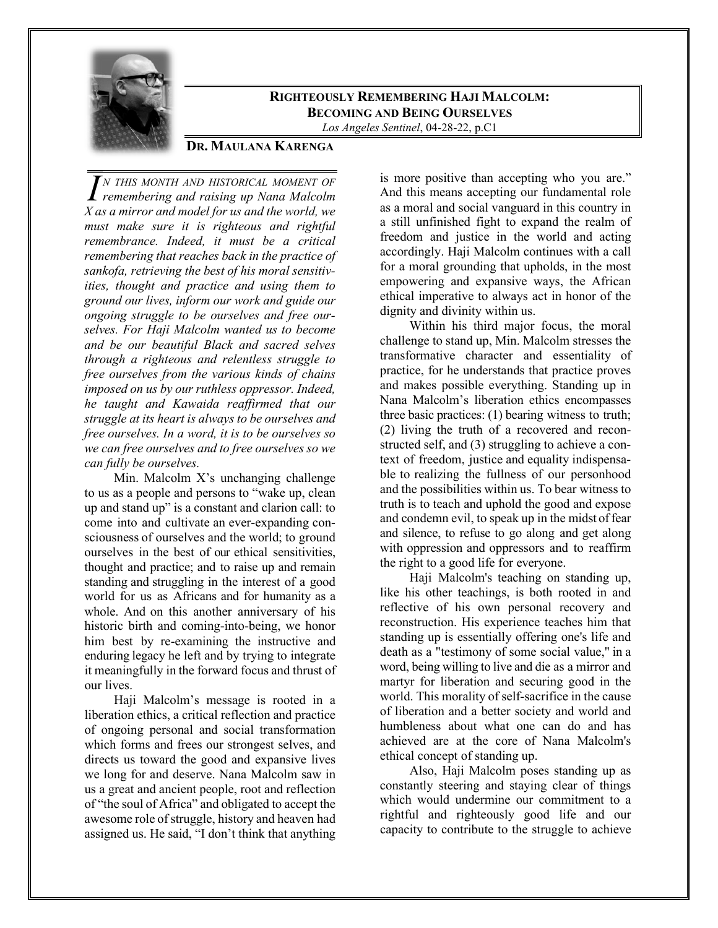

## **RIGHTEOUSLY REMEMBERING HAJI MALCOLM: BECOMING AND BEING OURSELVES**

*Los Angeles Sentinel*, 04-28-22, p.C1

## **DR. MAULANA KARENGA**

*N THIS MONTH AND HISTORICAL MOMENT OF <i>remembering and raising up Nana Malcolm <i>II X as a mirror and model for us and the world, we must make sure it is righteous and rightful remembrance. Indeed, it must be a critical remembering that reaches back in the practice of sankofa, retrieving the best of his moral sensitivities, thought and practice and using them to ground our lives, inform our work and guide our ongoing struggle to be ourselves and free ourselves. For Haji Malcolm wanted us to become and be our beautiful Black and sacred selves through a righteous and relentless struggle to free ourselves from the various kinds of chains imposed on us by our ruthless oppressor. Indeed, he taught and Kawaida reaffirmed that our struggle at its heart is always to be ourselves and free ourselves. In a word, it is to be ourselves so we can free ourselves and to free ourselves so we can fully be ourselves.*

Min. Malcolm X's unchanging challenge to us as a people and persons to "wake up, clean up and stand up" is a constant and clarion call: to come into and cultivate an ever-expanding consciousness of ourselves and the world; to ground ourselves in the best of our ethical sensitivities, thought and practice; and to raise up and remain standing and struggling in the interest of a good world for us as Africans and for humanity as a whole. And on this another anniversary of his historic birth and coming-into-being, we honor him best by re-examining the instructive and enduring legacy he left and by trying to integrate it meaningfully in the forward focus and thrust of our lives.

Haji Malcolm's message is rooted in a liberation ethics, a critical reflection and practice of ongoing personal and social transformation which forms and frees our strongest selves, and directs us toward the good and expansive lives we long for and deserve. Nana Malcolm saw in us a great and ancient people, root and reflection of "the soul of Africa" and obligated to accept the awesome role of struggle, history and heaven had assigned us. He said, "I don't think that anything

is more positive than accepting who you are." And this means accepting our fundamental role as a moral and social vanguard in this country in a still unfinished fight to expand the realm of freedom and justice in the world and acting accordingly. Haji Malcolm continues with a call for a moral grounding that upholds, in the most empowering and expansive ways, the African ethical imperative to always act in honor of the dignity and divinity within us.

Within his third major focus, the moral challenge to stand up, Min. Malcolm stresses the transformative character and essentiality of practice, for he understands that practice proves and makes possible everything. Standing up in Nana Malcolm's liberation ethics encompasses three basic practices: (1) bearing witness to truth; (2) living the truth of a recovered and reconstructed self, and (3) struggling to achieve a context of freedom, justice and equality indispensable to realizing the fullness of our personhood and the possibilities within us. To bear witness to truth is to teach and uphold the good and expose and condemn evil, to speak up in the midst of fear and silence, to refuse to go along and get along with oppression and oppressors and to reaffirm the right to a good life for everyone.

Haji Malcolm's teaching on standing up, like his other teachings, is both rooted in and reflective of his own personal recovery and reconstruction. His experience teaches him that standing up is essentially offering one's life and death as a "testimony of some social value," in a word, being willing to live and die as a mirror and martyr for liberation and securing good in the world. This morality of self-sacrifice in the cause of liberation and a better society and world and humbleness about what one can do and has achieved are at the core of Nana Malcolm's ethical concept of standing up.

Also, Haji Malcolm poses standing up as constantly steering and staying clear of things which would undermine our commitment to a rightful and righteously good life and our capacity to contribute to the struggle to achieve